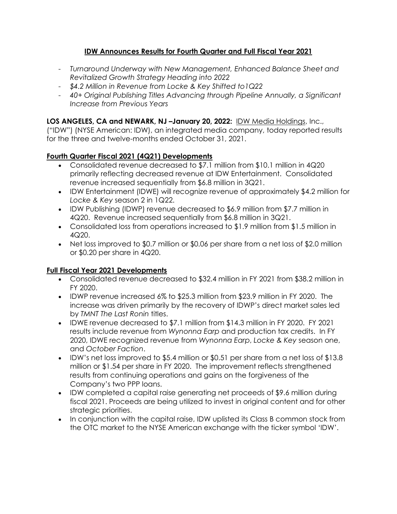# **IDW Announces Results for Fourth Quarter and Full Fiscal Year 2021**

- *Turnaround Underway with New Management, Enhanced Balance Sheet and Revitalized Growth Strategy Heading into 2022*
- *\$4.2 Million in Revenue from Locke & Key Shifted to1Q22*
- *40+ Original Publishing Titles Advancing through Pipeline Annually, a Significant Increase from Previous Years*

# **LOS ANGELES, CA and NEWARK, NJ –January 20, 2022:** [IDW Media Holdings,](https://idwmediaholdings.com/) Inc.,

("IDW") (NYSE American: IDW), an integrated media company, today reported results for the three and twelve-months ended October 31, 2021.

# **Fourth Quarter Fiscal 2021 (4Q21) Developments**

- Consolidated revenue decreased to \$7.1 million from \$10.1 million in 4Q20 primarily reflecting decreased revenue at IDW Entertainment. Consolidated revenue increased sequentially from \$6.8 million in 3Q21.
- IDW Entertainment (IDWE) will recognize revenue of approximately \$4.2 million for *Locke & Key* season 2 in 1Q22.
- IDW Publishing (IDWP) revenue decreased to \$6.9 million from \$7.7 million in 4Q20. Revenue increased sequentially from \$6.8 million in 3Q21.
- Consolidated loss from operations increased to \$1.9 million from \$1.5 million in 4Q20.
- Net loss improved to \$0.7 million or \$0.06 per share from a net loss of \$2.0 million or \$0.20 per share in 4Q20.

### **Full Fiscal Year 2021 Developments**

- Consolidated revenue decreased to \$32.4 million in FY 2021 from \$38.2 million in FY 2020.
- IDWP revenue increased 6% to \$25.3 million from \$23.9 million in FY 2020. The increase was driven primarily by the recovery of IDWP's direct market sales led by *TMNT The Last Ronin* titles.
- IDWE revenue decreased to \$7.1 million from \$14.3 million in FY 2020. FY 2021 results include revenue from *Wynonna Earp* and production tax credits. In FY 2020, IDWE recognized revenue from *Wynonna Earp*, *Locke & Key* season one, and *October Faction*.
- IDW's net loss improved to \$5.4 million or \$0.51 per share from a net loss of \$13.8 million or \$1.54 per share in FY 2020. The improvement reflects strengthened results from continuing operations and gains on the forgiveness of the Company's two PPP loans.
- IDW completed a capital raise generating net proceeds of \$9.6 million during fiscal 2021. Proceeds are being utilized to invest in original content and for other strategic priorities.
- In conjunction with the capital raise, IDW uplisted its Class B common stock from the OTC market to the NYSE American exchange with the ticker symbol 'IDW'.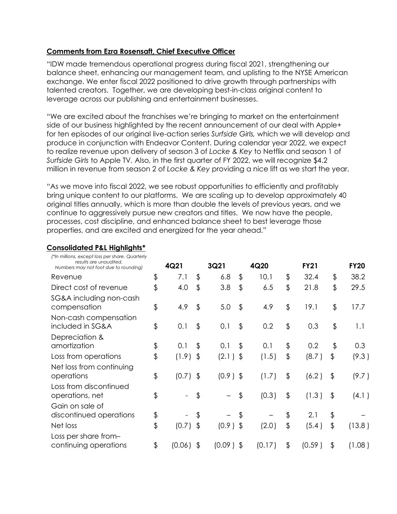#### **Comments from Ezra Rosensaft, Chief Executive Officer**

"IDW made tremendous operational progress during fiscal 2021, strengthening our balance sheet, enhancing our management team, and uplisting to the NYSE American exchange. We enter fiscal 2022 positioned to drive growth through partnerships with talented creators. Together, we are developing best-in-class original content to leverage across our publishing and entertainment businesses.

"We are excited about the franchises we're bringing to market on the entertainment side of our business highlighted by the recent announcement of our deal with Apple+ for ten episodes of our original live-action series *Surfside Girls,* which we will develop and produce in conjunction with Endeavor Content. During calendar year 2022, we expect to realize revenue upon delivery of season 3 of *Locke & Key* to Netflix and season 1 of *Surfside Girls* to Apple TV*.* Also, in the first quarter of FY 2022, we will recognize \$4.2 million in revenue from season 2 of *Locke & Key* providing a nice lift as we start the year.

"As we move into fiscal 2022, we see robust opportunities to efficiently and profitably bring unique content to our platforms. We are scaling up to develop approximately 40 original titles annually, which is more than double the levels of previous years, and we continue to aggressively pursue new creators and titles. We now have the people, processes, cost discipline, and enhanced balance sheet to best leverage those properties, and are excited and energized for the year ahead."

#### **Consolidated P&L Highlights\***

| (*In millions, except loss per share. Quarterly<br>results are unaudited. |               |            |                         |             |               |        |               |             |               |             |
|---------------------------------------------------------------------------|---------------|------------|-------------------------|-------------|---------------|--------|---------------|-------------|---------------|-------------|
| Numbers may not foot due to rounding)                                     |               | 4Q21       |                         | 3Q21        |               | 4Q20   |               | <b>FY21</b> |               | <b>FY20</b> |
| Revenue                                                                   | \$            | 7.1        | \$                      | 6.8         | \$            | 10.1   | \$            | 32.4        | \$            | 38.2        |
| Direct cost of revenue                                                    | \$            | 4.0        | $\frac{1}{2}$           | 3.8         | $\frac{1}{2}$ | 6.5    | \$            | 21.8        | \$            | 29.5        |
| SG&A including non-cash                                                   |               |            |                         |             |               |        |               |             |               |             |
| compensation                                                              | \$            | 4.9        | \$                      | 5.0         | $\frac{1}{2}$ | 4.9    | \$            | 19.1        | \$            | 17.7        |
| Non-cash compensation                                                     |               |            |                         |             |               |        |               |             |               |             |
| included in SG&A                                                          | \$            | 0.1        | \$                      | 0.1         | $\frac{1}{2}$ | 0.2    | \$            | 0.3         | \$            | 1.1         |
| Depreciation &                                                            |               |            |                         |             |               |        |               |             |               |             |
| amortization                                                              | \$            | 0.1        | \$                      | 0.1         | \$            | 0.1    | \$            | 0.2         | \$            | 0.3         |
| Loss from operations                                                      | \$            | (1.9)      | $\sqrt[6]{\frac{1}{2}}$ | $(2.1)$ \$  |               | (1.5)  | \$            | (8.7)       | \$            | (9.3)       |
| Net loss from continuing                                                  |               |            |                         |             |               |        |               |             |               |             |
| operations                                                                | $\frac{1}{2}$ | $(0.7)$ \$ |                         | $(0.9)$ \$  |               | (1.7)  | \$            | (6.2)       | \$            | (9.7)       |
| Loss from discontinued                                                    |               |            |                         |             |               |        |               |             |               |             |
| operations, net                                                           | \$            |            | \$                      |             | \$            | (0.3)  | $\frac{1}{2}$ | (1.3)       | $\frac{1}{2}$ | (4.1)       |
| Gain on sale of                                                           |               |            |                         |             |               |        |               |             |               |             |
| discontinued operations                                                   | \$            |            | \$                      |             | \$            |        | \$            | 2.1         | \$            |             |
| Net loss                                                                  | \$            | $(0.7)$ \$ |                         | $(0.9)$ \$  |               | (2.0)  | \$            | (5.4)       | \$            | (13.8)      |
| Loss per share from-                                                      |               |            |                         |             |               |        |               |             |               |             |
| continuing operations                                                     | \$            | (0.06)     | \$                      | $(0.09)$ \$ |               | (0.17) | \$            | (0.59)      | \$            | (1.08)      |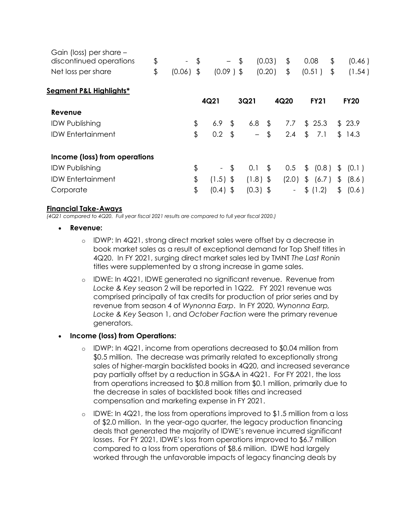| \$<br>(0.20)<br>\$<br>$(0.09)$ \$<br>Net loss per share<br>$(0.06)$ \$<br>(0.51)<br>\$<br>Segment P&L Highlights*<br>4Q21<br>3Q21<br>4Q20<br><b>FY21</b><br>Revenue<br>\$<br>6.9<br>\$<br>25.3<br><b>IDW Publishing</b><br>6.8 <sup>5</sup><br>7.7<br>\$<br>\$<br>0.2<br>$\mathfrak{g}$<br>\$<br>\$<br><b>IDW Entertainment</b><br>2.4<br>7.1<br>$-$<br>Income (loss) from operations<br>\$<br><b>IDW Publishing</b><br>\$<br>\$<br>\$<br>(0.8)<br>0.1<br>0.5<br>$\mathfrak{L}$<br>$\sim$<br>\$<br><b>IDW Entertainment</b><br>$(1.5)$ \$<br>$(1.8)$ \$<br>(6.7)<br>(2.0)<br>\$<br>\$ | (0.46)      |
|---------------------------------------------------------------------------------------------------------------------------------------------------------------------------------------------------------------------------------------------------------------------------------------------------------------------------------------------------------------------------------------------------------------------------------------------------------------------------------------------------------------------------------------------------------------------------------------|-------------|
|                                                                                                                                                                                                                                                                                                                                                                                                                                                                                                                                                                                       | (1.54)      |
|                                                                                                                                                                                                                                                                                                                                                                                                                                                                                                                                                                                       |             |
|                                                                                                                                                                                                                                                                                                                                                                                                                                                                                                                                                                                       | <b>FY20</b> |
|                                                                                                                                                                                                                                                                                                                                                                                                                                                                                                                                                                                       |             |
|                                                                                                                                                                                                                                                                                                                                                                                                                                                                                                                                                                                       | \$23.9      |
|                                                                                                                                                                                                                                                                                                                                                                                                                                                                                                                                                                                       | \$14.3      |
|                                                                                                                                                                                                                                                                                                                                                                                                                                                                                                                                                                                       |             |
|                                                                                                                                                                                                                                                                                                                                                                                                                                                                                                                                                                                       | (0.1)       |
|                                                                                                                                                                                                                                                                                                                                                                                                                                                                                                                                                                                       | (8.6)       |
| \$<br>\$<br>(0.4)<br>$(0.3)$ \$<br>\$(1.2)<br>Corporate<br>\$<br>$\overline{\phantom{a}}$                                                                                                                                                                                                                                                                                                                                                                                                                                                                                             | (0.6)       |

#### **Financial Take-Aways**

*(4Q21 compared to 4Q20. Full year fiscal 2021 results are compared to full year fiscal 2020.)*

- **Revenue:**
	- o IDWP: In 4Q21, strong direct market sales were offset by a decrease in book market sales as a result of exceptional demand for Top Shelf titles in 4Q20. In FY 2021, surging direct market sales led by TMNT *The Last Ronin* titles were supplemented by a strong increase in game sales.
	- o IDWE: In 4Q21, IDWE generated no significant revenue. Revenue from *Locke & Key* season 2 will be reported in 1Q22. FY 2021 revenue was comprised principally of tax credits for production of prior series and by revenue from season 4 of *Wynonna Earp*. In FY 2020, *Wynonna Earp, Locke & Key* Season 1, and *October Faction* were the primary revenue generators.

### • **Income (loss) from Operations:**

- $\circ$  IDWP: In 4Q21, income from operations decreased to \$0.04 million from \$0.5 million. The decrease was primarily related to exceptionally strong sales of higher-margin backlisted books in 4Q20, and increased severance pay partially offset by a reduction in SG&A in 4Q21. For FY 2021, the loss from operations increased to \$0.8 million from \$0.1 million, primarily due to the decrease in sales of backlisted book titles and increased compensation and marketing expense in FY 2021.
- $\circ$  IDWE: In 4Q21, the loss from operations improved to \$1.5 million from a loss of \$2.0 million. In the year-ago quarter, the legacy production financing deals that generated the majority of IDWE's revenue incurred significant losses. For FY 2021, IDWE's loss from operations improved to \$6.7 million compared to a loss from operations of \$8.6 million. IDWE had largely worked through the unfavorable impacts of legacy financing deals by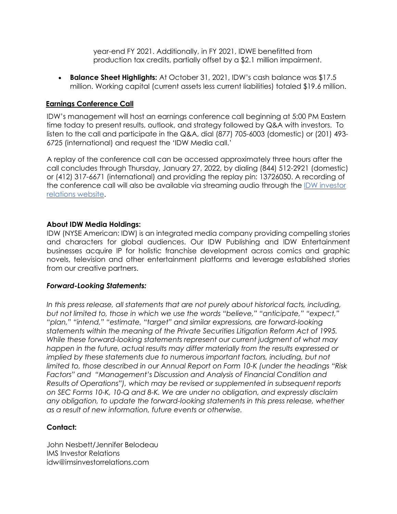year-end FY 2021. Additionally, in FY 2021, IDWE benefitted from production tax credits, partially offset by a \$2.1 million impairment.

• **Balance Sheet Highlights:** At October 31, 2021, IDW's cash balance was \$17.5 million. Working capital (current assets less current liabilities) totaled \$19.6 million.

# **Earnings Conference Call**

IDW's management will host an earnings conference call beginning at 5:00 PM Eastern time today to present results, outlook, and strategy followed by Q&A with investors. To listen to the call and participate in the Q&A, dial (877) 705-6003 (domestic) or (201) 493- 6725 (international) and request the 'IDW Media call.'

A replay of the conference call can be accessed approximately three hours after the call concludes through Thursday, January 27, 2022, by dialing (844) 512-2921 (domestic) or (412) 317-6671 (international) and providing the replay pin: 13726050. A recording of the conference call will also be available via streaming audio through the IDW [investor](https://idwmediaholdings.com/investors/) [relations](https://idwmediaholdings.com/investors/) website.

#### **About IDW Media Holdings:**

IDW (NYSE American: IDW) is an integrated media company providing compelling stories and characters for global audiences. Our IDW Publishing and IDW Entertainment businesses acquire IP for holistic franchise development across comics and graphic novels, television and other entertainment platforms and leverage established stories from our creative partners.

### *Forward-Looking Statements:*

*In this press release, all statements that are not purely about historical facts, including, but not limited to, those in which we use the words "believe," "anticipate," "expect," "plan," "intend," "estimate, "target" and similar expressions, are forward-looking statements within the meaning of the Private Securities Litigation Reform Act of 1995. While these forward-looking statements represent our current judgment of what may happen in the future, actual results may differ materially from the results expressed or*  implied by these statements due to numerous important factors, including, but not *limited to, those described in our Annual Report on Form 10-K (under the headings "Risk Factors" and "Management's Discussion and Analysis of Financial Condition and Results of Operations"), which may be revised or supplemented in subsequent reports on SEC Forms 10-K, 10-Q and 8-K. We are under no obligation, and expressly disclaim any obligation, to update the forward-looking statements in this press release, whether as a result of new information, future events or otherwise.*

### **Contact:**

John Nesbett/Jennifer Belodeau IMS Investor Relations idw@imsinvestorrelations.com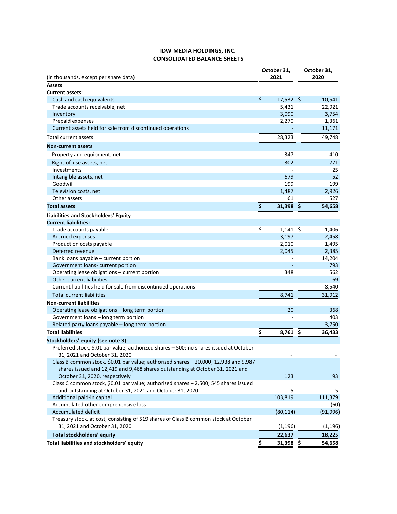#### **IDW MEDIA HOLDINGS, INC. CONSOLIDATED BALANCE SHEETS**

| (in thousands, except per share data)                                                                                        |                    | October 31,<br>2021 | October 31,<br>2020 |           |
|------------------------------------------------------------------------------------------------------------------------------|--------------------|---------------------|---------------------|-----------|
| <b>Assets</b>                                                                                                                |                    |                     |                     |           |
| <b>Current assets:</b>                                                                                                       |                    |                     |                     |           |
| Cash and cash equivalents                                                                                                    | \$                 | $17,532$ \$         |                     | 10,541    |
| Trade accounts receivable, net                                                                                               |                    | 5,431               |                     | 22,921    |
| Inventory                                                                                                                    |                    | 3,090               |                     | 3,754     |
| Prepaid expenses                                                                                                             |                    | 2,270               |                     | 1,361     |
| Current assets held for sale from discontinued operations                                                                    |                    |                     |                     | 11,171    |
| Total current assets                                                                                                         |                    | 28,323              |                     | 49,748    |
| <b>Non-current assets</b>                                                                                                    |                    |                     |                     |           |
| Property and equipment, net                                                                                                  |                    | 347                 |                     | 410       |
| Right-of-use assets, net                                                                                                     |                    | 302                 |                     | 771       |
| Investments                                                                                                                  |                    |                     |                     | 25        |
| Intangible assets, net                                                                                                       |                    | 679                 |                     | 52        |
| Goodwill                                                                                                                     |                    | 199                 |                     | 199       |
| Television costs, net                                                                                                        |                    | 1,487               |                     | 2,926     |
| Other assets                                                                                                                 |                    | 61                  |                     | 527       |
| <b>Total assets</b>                                                                                                          | $\dot{\mathsf{S}}$ | $31,398$ \$         |                     | 54,658    |
| Liabilities and Stockholders' Equity                                                                                         |                    |                     |                     |           |
| <b>Current liabilities:</b>                                                                                                  |                    |                     |                     |           |
| Trade accounts payable                                                                                                       | \$                 | $1,141$ \$          |                     | 1,406     |
| <b>Accrued expenses</b>                                                                                                      |                    | 3,197               |                     | 2,458     |
| Production costs payable                                                                                                     |                    | 2,010               |                     | 1,495     |
| Deferred revenue                                                                                                             |                    | 2,045               |                     | 2,385     |
| Bank loans payable - current portion                                                                                         |                    |                     |                     | 14,204    |
| Government loans- current portion                                                                                            |                    |                     |                     | 793       |
| Operating lease obligations - current portion                                                                                |                    | 348                 |                     | 562       |
| Other current liabilities                                                                                                    |                    |                     |                     | 69        |
| Current liabilities held for sale from discontinued operations                                                               |                    |                     |                     | 8,540     |
| <b>Total current liabilities</b>                                                                                             |                    | 8,741               |                     | 31,912    |
| <b>Non-current liabilities</b>                                                                                               |                    |                     |                     |           |
| Operating lease obligations - long term portion                                                                              |                    | 20                  |                     | 368       |
| Government loans - long term portion                                                                                         |                    |                     |                     | 403       |
| Related party loans payable - long term portion                                                                              |                    |                     |                     | 3,750     |
| <b>Total liabilities</b>                                                                                                     | \$                 | 8,761               | \$                  | 36,433    |
|                                                                                                                              |                    |                     |                     |           |
| Stockholders' equity (see note 3):<br>Preferred stock, \$.01 par value; authorized shares - 500; no shares issued at October |                    |                     |                     |           |
| 31, 2021 and October 31, 2020                                                                                                |                    |                     |                     |           |
| Class B common stock, \$0.01 par value; authorized shares - 20,000; 12,938 and 9,987                                         |                    |                     |                     |           |
| shares issued and 12,419 and 9,468 shares outstanding at October 31, 2021 and                                                |                    |                     |                     |           |
| October 31, 2020, respectively                                                                                               |                    | 123                 |                     | 93        |
| Class C common stock, \$0.01 par value; authorized shares - 2,500; 545 shares issued                                         |                    |                     |                     |           |
| and outstanding at October 31, 2021 and October 31, 2020                                                                     |                    | 5                   |                     | 5         |
| Additional paid-in capital                                                                                                   |                    | 103,819             |                     | 111,379   |
| Accumulated other comprehensive loss                                                                                         |                    |                     |                     | (60)      |
| Accumulated deficit                                                                                                          |                    | (80, 114)           |                     | (91, 996) |
| Treasury stock, at cost, consisting of 519 shares of Class B common stock at October                                         |                    |                     |                     |           |
| 31, 2021 and October 31, 2020                                                                                                |                    | (1, 196)            |                     | (1, 196)  |
| Total stockholders' equity                                                                                                   |                    | 22,637              |                     | 18,225    |
| Total liabilities and stockholders' equity                                                                                   |                    |                     |                     |           |
|                                                                                                                              | \$                 | $31,398$ \$         |                     | 54,658    |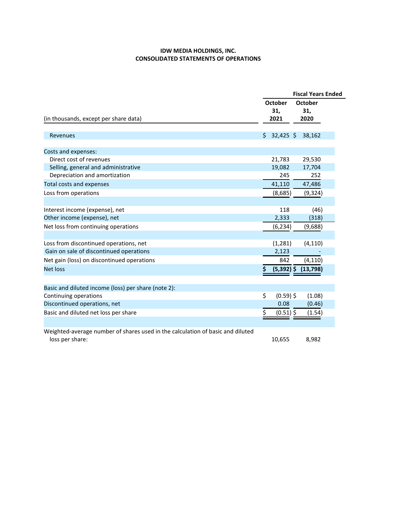#### **IDW MEDIA HOLDINGS, INC. CONSOLIDATED STATEMENTS OF OPERATIONS**

|                                                                                                   |    | <b>Fiscal Years Ended</b>     |                         |  |  |  |
|---------------------------------------------------------------------------------------------------|----|-------------------------------|-------------------------|--|--|--|
| (in thousands, except per share data)                                                             |    | <b>October</b><br>31,<br>2021 | October<br>31,<br>2020  |  |  |  |
| Revenues                                                                                          | S  | $32,425$ \$                   | 38,162                  |  |  |  |
| Costs and expenses:                                                                               |    |                               |                         |  |  |  |
| Direct cost of revenues                                                                           |    | 21,783                        | 29,530                  |  |  |  |
| Selling, general and administrative                                                               |    | 19,082                        | 17,704                  |  |  |  |
| Depreciation and amortization                                                                     |    | 245                           | 252                     |  |  |  |
| <b>Total costs and expenses</b>                                                                   |    | 41,110                        | 47,486                  |  |  |  |
| Loss from operations                                                                              |    | (8,685)                       | (9, 324)                |  |  |  |
| Interest income (expense), net                                                                    |    | 118                           | (46)                    |  |  |  |
| Other income (expense), net                                                                       |    | 2,333                         | (318)                   |  |  |  |
| Net loss from continuing operations                                                               |    | (6, 234)                      | (9,688)                 |  |  |  |
| Loss from discontinued operations, net                                                            |    | (1, 281)                      | (4, 110)                |  |  |  |
| Gain on sale of discontinued operations                                                           |    | 2,123                         |                         |  |  |  |
| Net gain (loss) on discontinued operations                                                        |    | 842                           | (4, 110)                |  |  |  |
| <b>Net loss</b>                                                                                   |    |                               | $(5,392)$ \$ $(13,798)$ |  |  |  |
| Basic and diluted income (loss) per share (note 2):                                               |    |                               |                         |  |  |  |
| Continuing operations                                                                             | \$ | $(0.59)$ \$                   | (1.08)                  |  |  |  |
| Discontinued operations, net                                                                      |    | 0.08                          | (0.46)                  |  |  |  |
| Basic and diluted net loss per share                                                              |    | $(0.51)$ \$                   | (1.54)                  |  |  |  |
|                                                                                                   |    |                               |                         |  |  |  |
| Weighted-average number of shares used in the calculation of basic and diluted<br>loss per share: |    | 10,655                        | 8,982                   |  |  |  |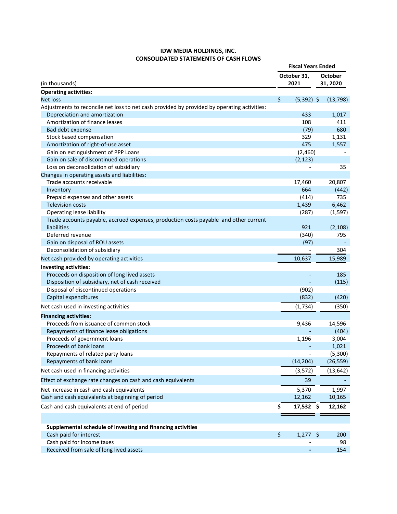#### **IDW MEDIA HOLDINGS, INC. CONSOLIDATED STATEMENTS OF CASH FLOWS**

|                                                                                             | <b>Fiscal Years Ended</b> |              |                            |           |
|---------------------------------------------------------------------------------------------|---------------------------|--------------|----------------------------|-----------|
| (in thousands)                                                                              |                           | October 31,  | <b>October</b><br>31, 2020 |           |
|                                                                                             |                           | 2021         |                            |           |
| <b>Operating activities:</b>                                                                |                           |              |                            |           |
| <b>Net loss</b>                                                                             | \$                        | $(5,392)$ \$ |                            | (13, 798) |
| Adjustments to reconcile net loss to net cash provided by provided by operating activities: |                           |              |                            |           |
| Depreciation and amortization                                                               |                           | 433          |                            | 1,017     |
| Amortization of finance leases                                                              |                           | 108          |                            | 411       |
| Bad debt expense                                                                            |                           | (79)         |                            | 680       |
| Stock based compensation                                                                    |                           | 329          |                            | 1,131     |
| Amortization of right-of-use asset                                                          |                           | 475          |                            | 1,557     |
| Gain on extinguishment of PPP Loans                                                         |                           | (2,460)      |                            |           |
| Gain on sale of discontinued operations                                                     |                           | (2, 123)     |                            |           |
| Loss on deconsolidation of subsidiary                                                       |                           |              |                            | 35        |
| Changes in operating assets and liabilities:                                                |                           |              |                            |           |
| Trade accounts receivable                                                                   |                           | 17,460       |                            | 20,807    |
| Inventory                                                                                   |                           | 664          |                            | (442)     |
| Prepaid expenses and other assets                                                           |                           | (414)        |                            | 735       |
| <b>Television costs</b>                                                                     |                           | 1,439        |                            | 6,462     |
| Operating lease liability                                                                   |                           | (287)        |                            | (1, 597)  |
| Trade accounts payable, accrued expenses, production costs payable and other current        |                           |              |                            |           |
| liabilities                                                                                 |                           | 921          |                            | (2, 108)  |
| Deferred revenue                                                                            |                           | (340)        |                            | 795       |
| Gain on disposal of ROU assets                                                              |                           | (97)         |                            |           |
| Deconsolidation of subsidiary                                                               |                           |              |                            | 304       |
| Net cash provided by operating activities                                                   |                           | 10,637       |                            | 15,989    |
| Investing activities:                                                                       |                           |              |                            |           |
| Proceeds on disposition of long lived assets                                                |                           |              |                            | 185       |
| Disposition of subsidiary, net of cash received                                             |                           |              |                            | (115)     |
| Disposal of discontinued operations                                                         |                           | (902)        |                            |           |
| Capital expenditures                                                                        |                           | (832)        |                            | (420)     |
| Net cash used in investing activities                                                       |                           | (1,734)      |                            | (350)     |
| <b>Financing activities:</b>                                                                |                           |              |                            |           |
| Proceeds from issuance of common stock                                                      |                           | 9,436        |                            | 14,596    |
| Repayments of finance lease obligations                                                     |                           |              |                            | (404)     |
| Proceeds of government loans                                                                |                           | 1,196        |                            | 3,004     |
| Proceeds of bank loans                                                                      |                           |              |                            | 1,021     |
| Repayments of related party loans                                                           |                           |              |                            | (5,300)   |
| Repayments of bank loans                                                                    |                           | (14, 204)    |                            | (26, 559) |
| Net cash used in financing activities                                                       |                           | (3,572)      |                            | (13, 642) |
| Effect of exchange rate changes on cash and cash equivalents                                |                           | 39           |                            |           |
| Net increase in cash and cash equivalents                                                   |                           | 5,370        |                            | 1,997     |
| Cash and cash equivalents at beginning of period                                            |                           | 12,162       |                            | 10,165    |
| Cash and cash equivalents at end of period                                                  | \$                        | 17,532 \$    |                            | 12,162    |
|                                                                                             |                           |              |                            |           |
| Supplemental schedule of investing and financing activities                                 |                           |              |                            |           |
| Cash paid for interest                                                                      | \$                        | $1,277$ \$   |                            | 200       |
| Cash paid for income taxes                                                                  |                           |              |                            | 98        |
| Received from sale of long lived assets                                                     |                           |              |                            | 154       |